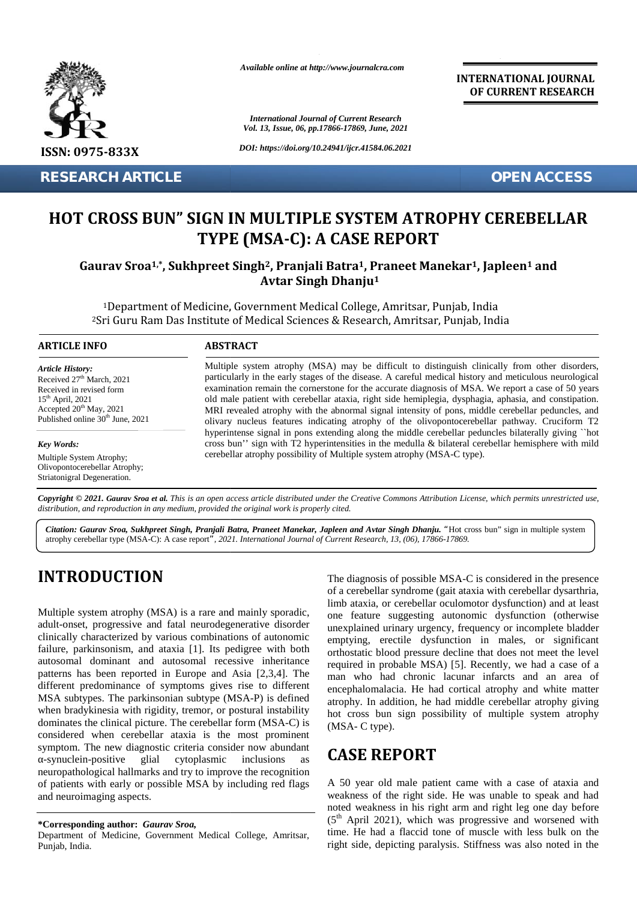

**RESEARCH ARTICLE OPEN ACCESS**

*Available online at http://www.journalcra.com*

*International Journal of Current Research Vol. 13, Issue, 06, pp.17866-17869, June, 2021*

*DOI: https://doi.org/10.24941/ijcr.41584.06.2021*

**INTERNATIONAL JOURNAL OF CURRENT RESEARCH**

# **HOT CROSS BUN" SIGN IN MULTIPLE SYSTEM ATROPHY CEREBELLAR HOT A CASE TYPE (MSA-C): A CASE REPORT**

## **Gaurav Sroa1,\*, Sukhpreet Singh2, Pranjali Batra1, Praneet Manekar1, Japleen<sup>1</sup> and 11Avtar Singh Dhanju<sup>1</sup> Avtar Singh 1**

<sup>1</sup>Department of Medicine, Government Medical College, Amritsar, Punjab, India <sup>2</sup>Sri Guru Ram Das Institute of Medical Sciences & Research, Amritsar, Punjab, India Department of Punjab, IndiaAmritsar, Punjab,

### **ARTICLE INFO ABSTRACT ARTICLE ABSTRACT**

*Article History:* Received  $27<sup>th</sup>$  March, 2021 Received 27 March, 2021<br>Received in revised form  $15<sup>th</sup>$  April, 2021 Accepted  $20<sup>th</sup>$  May, 2021 Published online  $30<sup>th</sup>$  June, 2021

#### *Key Words:*

Multiple System Atrophy; Olivopontocerebellar Atrophy; Striatonigral Degeneration.

Multiple system atrophy (MSA) may be difficult to distinguish clinically from other disorders, particularly in the early stages of the disease. A careful medical history and meticulous neurological examination remain the cornerstone for the accurate diagnosis of MSA. We report a case of 50 years old male patient with cerebellar ataxia, right side hemiplegia, dysphagia, aphasia, and constipation. MRI revealed atrophy with the abnormal signal intensity of pons, middle cerebellar peduncles, and olivary nucleus features indicating atrophy of the olivopontocerebellar pathway. Cruciform T2 hyperintense signal in pons extending along the middle cerebellar peduncles bilaterally giving ``hot cross bun'' sign with T2 hyperintensities in the medulla & bilateral cerebellar hemisphere with mild cerebellar atrophy possibility of Multiple system atrophy (MSA-C type). cerebellar atrophy possibility of Multiple system atrophy (MSA-C type). Multiple system atrophy (MSA) may be difficult to distinguish clinically from other disorders, particularly in the early stages of the disease. A careful medical history and meticulous neurological examination remain the c **HOT CROSS BUN" SIGN IN MULTIPLE SYSTEM ATROPHY CEREBELLAR**<br> **HOT CROSS BUN" SIGN IN MULTIPLE SYSTEM ATROPHY CEREBELLAR**<br> **TYPE (MSA-C): A CASE REPORT**<br> **Gaurav Sroa<sup>1,\*</sup>, Sukhpreet Singh<sup>2</sup>, Pranjali Batra<sup>1</sup>, Praneet Man CHERE SET ACCESS**<br> **ATROPHY CEREBELLAR**<br> **PORT**<br> **EXECUTE AND SET AND SET AND SET AND SET AND SET AND SET AND SET AND SET AND SET AND SET AND AND SET AND AND AND the dispersion of the dispersion of MSA. We report a case o** 

Copyright © 2021. Gaurav Sroa et al. This is an open access article distributed under the Creative Commons Attribution License, which permits unrestricted use, *distribution, and reproduction in any medium, provided the original work is properly cited. distribution,any* verebellar Atrophy;<br>
secrebellar Atrophy;<br>
al Degeneration.<br> **Complementary** *International Work is properly cited.*<br> *Raurav Sroa, Sukhpreet Singh, Pranjali Batra, Praneet Manekar, Japleen and Aterebellar type (MSA-C): A* 

*Citation: Gaurav Sroa, Sukhpreet Singh, Pranjali Batra, Praneet Manekar, Japleen and Avtar Singh Dhanju. "*Hot cross bun" sign in multiple system *Batra, Avtar Dhanju."*Hot multipleatrophy cerebellar type (MSA-C): A case report*", 2021. International Journal of Current Research, 13, (06), 17866-17869.*

# **INTRODUCTION INTRODUCTION**

Multiple system atrophy (MSA) is a rare and mainly sporadic, adult-onset, progressive and fatal neurodegenerative disorder Multiple system atrophy (MSA) is a rare and mainly sporadic, one<br>adult-onset, progressive and fatal neurodegenerative disorder une<br>clinically characterized by various combinations of autonomic failure, parkinsonism, and ataxia [1]. Its pedigree with both autosomal dominant and autosomal recessive inheritance <sub>requ</sub> patterns has been reported in Europe and Asia [2,3,4]. The different predominance of symptoms gives rise to different MSA subtypes. The parkinsonian subtype (MSA-P) is defined when bradykinesia with rigidity, tremor, or postural instability dominates the clinical picture. The cerebellar form (MSA-C) is considered when cerebellar ataxia is the most prominent symptom. The new diagnostic criteria consider now abundant -synuclein-positive glial cytoplasmic inclusions as neuropathological hallmarks and try to improve the recognition of patients with early or possible MSA by including red flags and neuroimaging aspects. and failure, parkinsonism, and ataxia [1]. Its pedigree with both<br>autosomal dominant and autosomal recessive inheritance<br>patterns has been reported in Europe and Asia [2,3,4]. The different predominance of symptoms gives rise to different<br>
MSA subtypes. The parkinsonian subtype (MSA-P) is defined<br>
when bradykinesia with rigidity, tremor, or postural instability<br>
dominates the clinical picture. The c Multiple system atrophy (MSA) is a rare and mainly sportal corebellar could concord dysfunction) and at least<br>adult-onset, progressive and fatal neurodegenerative disorder une surginal urinary regressive and fatal neurode

Department of Medicine, Government Medical College, Amritsar, Punjab, India.

The diagnosis of possible MSA-C is considered in the presence of a cerebellar syndrome (gait ataxia with cerebellar dysarthria, limb ataxia, or cerebellar oculomotor dysfunction) and at least one feature suggesting autonomic dysfunction (otherwise unexplained urinary urgency, frequency or incomplete bladder emptying, erectile dysfunction in males, or significant orthostatic blood pressure decline that does not meet the level required in probable MSA) [5]. Recently, we had a case of a man who had chronic lacunar infarcts and an area of encephalomalacia. He had cortical atrophy and white matter atrophy. In addition, he had middle cerebellar atrophy giving hot cross bun sign possibility of multiple system atrophy (MSA- C type). **EXAMPLE SET ANTIFICATE CONTRACT CONTRACT CONTRACT CONTRACT CONTRACT CONTRACT CONTRACT CONTRACT CONTRACT CONTRACT CONTRACT CONTRACT CONTRACT CONTRACT CONTRACT CONTRACT CONTRACT CONTRACT CONTRACT CONTRACT CONTRACT CONTRACT** 

# **CASE REPORT CASE REPORT**

A 50 year old male patient came with a case of ataxia and weakness of the right side. He was unable to speak and had A 50 year old male patient came with a case of ataxia and<br>weakness of the right side. He was unable to speak and had<br>noted weakness in his right arm and right leg one day before<br> $(5^{\text{th}}$  April 2021), which was progressi  $(5<sup>th</sup>$  April 2021), which was progressive and worsened with time. He had a flaccid tone of muscle with less bulk on the right side, depicting paralysis. Stiffness was also noted in the

**<sup>\*</sup>Corresponding author:** *Gaurav Sroa,* **\*Corresponding**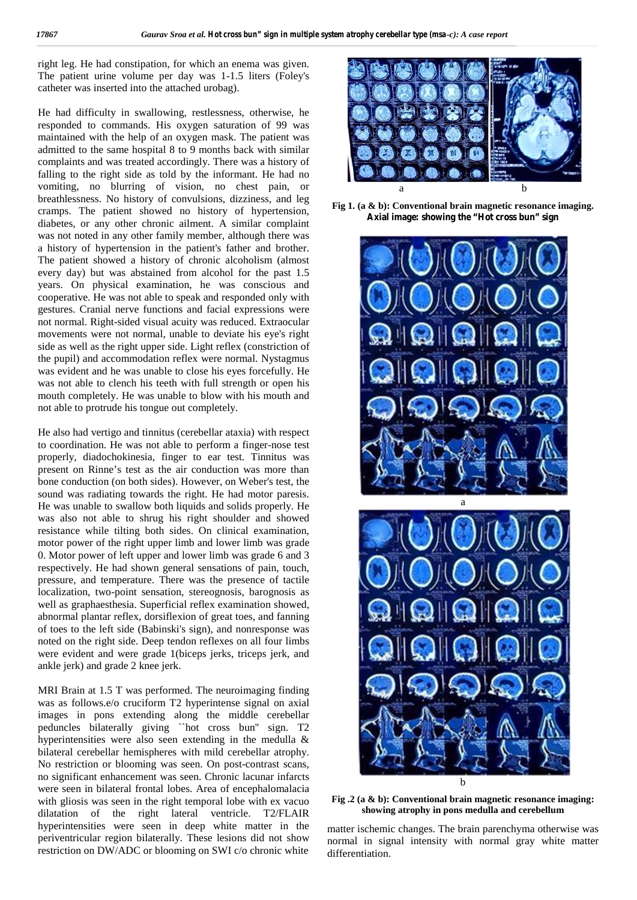right leg. He had constipation, for which an enema was given. The patient urine volume per day was 1-1.5 liters (Foley's catheter was inserted into the attached urobag).

He had difficulty in swallowing, restlessness, otherwise, he responded to commands. His oxygen saturation of 99 was maintained with the help of an oxygen mask. The patient was admitted to the same hospital 8 to 9 months back with similar complaints and was treated accordingly. There was a history of falling to the right side as told by the informant. He had no vomiting, no blurring of vision, no chest pain, or breathlessness. No history of convulsions, dizziness, and leg cramps. The patient showed no history of hypertension, diabetes, or any other chronic ailment. A similar complaint was not noted in any other family member, although there was a history of hypertension in the patient's father and brother. The patient showed a history of chronic alcoholism (almost every day) but was abstained from alcohol for the past 1.5 years. On physical examination, he was conscious and cooperative. He was not able to speak and responded only with gestures. Cranial nerve functions and facial expressions were not normal. Right-sided visual acuity was reduced. Extraocular movements were not normal, unable to deviate his eye's right side as well as the right upper side. Light reflex (constriction of the pupil) and accommodation reflex were normal. Nystagmus was evident and he was unable to close his eyes forcefully. He was not able to clench his teeth with full strength or open his mouth completely. He was unable to blow with his mouth and not able to protrude his tongue out completely.

He also had vertigo and tinnitus (cerebellar ataxia) with respect to coordination. He was not able to perform a finger-nose test properly, diadochokinesia, finger to ear test. Tinnitus was present on Rinne's test as the air conduction was more than bone conduction (on both sides). However, on Weber's test, the sound was radiating towards the right. He had motor paresis. He was unable to swallow both liquids and solids properly. He was also not able to shrug his right shoulder and showed resistance while tilting both sides. On clinical examination, motor power of the right upper limb and lower limb was grade 0. Motor power of left upper and lower limb was grade 6 and 3 respectively. He had shown general sensations of pain, touch, pressure, and temperature. There was the presence of tactile localization, two-point sensation, stereognosis, barognosis as well as graphaesthesia. Superficial reflex examination showed, abnormal plantar reflex, dorsiflexion of great toes, and fanning of toes to the left side (Babinski's sign), and nonresponse was noted on the right side. Deep tendon reflexes on all four limbs were evident and were grade 1(biceps jerks, triceps jerk, and ankle jerk) and grade 2 knee jerk.

MRI Brain at 1.5 T was performed. The neuroimaging finding was as follows.e/o cruciform T2 hyperintense signal on axial images in pons extending along the middle cerebellar peduncles bilaterally giving ``hot cross bun'' sign. T2 hyperintensities were also seen extending in the medulla & bilateral cerebellar hemispheres with mild cerebellar atrophy. No restriction or blooming was seen. On post-contrast scans, no significant enhancement was seen. Chronic lacunar infarcts were seen in bilateral frontal lobes. Area of encephalomalacia with gliosis was seen in the right temporal lobe with ex vacuo dilatation of the right lateral ventricle. T2/FLAIR hyperintensities were seen in deep white matter in the periventricular region bilaterally. These lesions did not show restriction on DW/ADC or blooming on SWI c/o chronic white



**Fig 1. (a & b): Conventional brain magnetic resonance imaging. Axial image: showing the "Hot cross bun" sign**



**Fig .2 (a & b): Conventional brain magnetic resonance imaging: showing atrophy in pons medulla and cerebellum**

matter ischemic changes. The brain parenchyma otherwise was normal in signal intensity with normal gray white matter differentiation.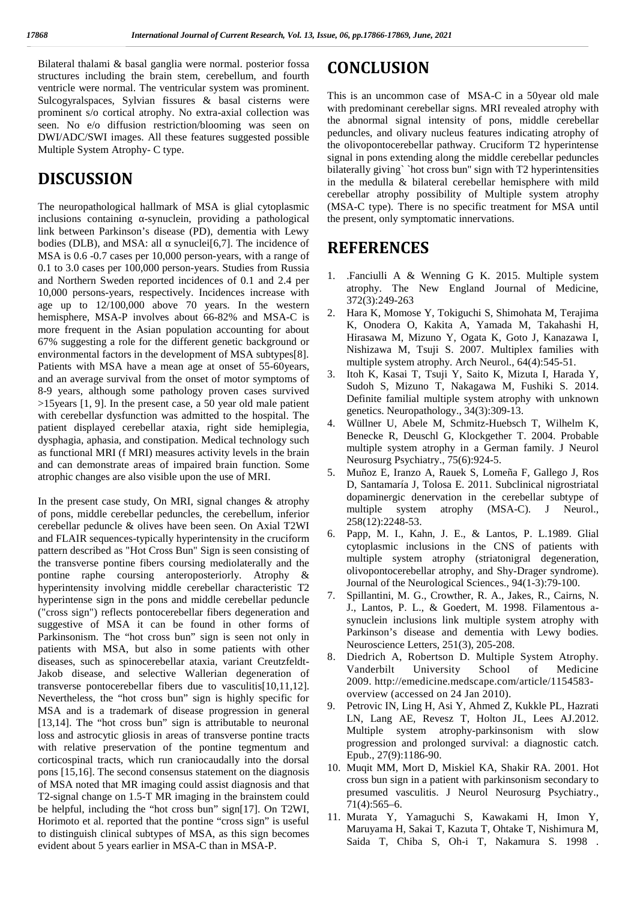Bilateral thalami & basal ganglia were normal. posterior fossa structures including the brain stem, cerebellum, and fourth ventricle were normal. The ventricular system was prominent. Sulcogyralspaces, Sylvian fissures & basal cisterns were prominent s/o cortical atrophy. No extra-axial collection was seen. No e/o diffusion restriction/blooming was seen on DWI/ADC/SWI images. All these features suggested possible Multiple System Atrophy- C type.

# **DISCUSSION**

The neuropathological hallmark of MSA is glial cytoplasmic inclusions containing -synuclein, providing a pathological link between Parkinson's disease (PD), dementia with Lewy bodies (DLB), and MSA: all synuclei[6,7]. The incidence of MSA is 0.6 -0.7 cases per 10,000 person-years, with a range of 0.1 to 3.0 cases per 100,000 person-years. Studies from Russia and Northern Sweden reported incidences of 0.1 and 2.4 per 10,000 persons-years, respectively. Incidences increase with age up to 12/100,000 above 70 years. In the western hemisphere, MSA-P involves about 66-82% and MSA-C is more frequent in the Asian population accounting for about 67% suggesting a role for the different genetic background or environmental factors in the development of MSA subtypes[8]. Patients with MSA have a mean age at onset of 55-60 years, and an average survival from the onset of motor symptoms of 8-9 years, although some pathology proven cases survived >15years [1, 9]. In the present case, a 50 year old male patient with cerebellar dysfunction was admitted to the hospital. The patient displayed cerebellar ataxia, right side hemiplegia, dysphagia, aphasia, and constipation. Medical technology such as functional MRI (f MRI) measures activity levels in the brain and can demonstrate areas of impaired brain function. Some atrophic changes are also visible upon the use of MRI.

In the present case study, On MRI, signal changes & atrophy of pons, middle cerebellar peduncles, the cerebellum, inferior cerebellar peduncle & olives have been seen. On Axial T2WI and FLAIR sequences-typically hyperintensity in the cruciform pattern described as "Hot Cross Bun" Sign is seen consisting of the transverse pontine fibers coursing mediolaterally and the pontine raphe coursing anteroposteriorly. Atrophy & hyperintensity involving middle cerebellar characteristic T2 hyperintense sign in the pons and middle cerebellar peduncle ("cross sign") reflects pontocerebellar fibers degeneration and suggestive of MSA it can be found in other forms of Parkinsonism. The "hot cross bun" sign is seen not only in patients with MSA, but also in some patients with other diseases, such as spinocerebellar ataxia, variant Creutzfeldt- Jakob disease, and selective Wallerian degeneration of transverse pontocerebellar fibers due to vasculitis[10,11,12]. Nevertheless, the "hot cross bun" sign is highly specific for MSA and is a trademark of disease progression in general [13,14]. The "hot cross bun" sign is attributable to neuronal loss and astrocytic gliosis in areas of transverse pontine tracts with relative preservation of the pontine tegmentum and corticospinal tracts, which run craniocaudally into the dorsal pons [15,16]. The second consensus statement on the diagnosis of MSA noted that MR imaging could assist diagnosis and that T2-signal change on 1.5-T MR imaging in the brainstem could be helpful, including the "hot cross bun" sign[17]. On T2WI, Horimoto et al. reported that the pontine "cross sign" is useful to distinguish clinical subtypes of MSA, as this sign becomes evident about 5 years earlier in MSA-C than in MSA-P.

## **CONCLUSION**

This is an uncommon case of MSA-C in a 50year old male with predominant cerebellar signs. MRI revealed atrophy with the abnormal signal intensity of pons, middle cerebellar peduncles, and olivary nucleus features indicating atrophy of the olivopontocerebellar pathway. Cruciform T2 hyperintense signal in pons extending along the middle cerebellar peduncles bilaterally giving` `hot cross bun'' sign with T2 hyperintensities in the medulla & bilateral cerebellar hemisphere with mild cerebellar atrophy possibility of Multiple system atrophy (MSA-C type). There is no specific treatment for MSA until the present, only symptomatic innervations.

# **REFERENCES**

- 1. .Fanciulli A & Wenning G K. 2015. Multiple system atrophy. The New England Journal of Medicine, 372(3):249-263
- 2. Hara K, Momose Y, Tokiguchi S, Shimohata M, Terajima K, Onodera O, Kakita A, Yamada M, Takahashi H, Hirasawa M, Mizuno Y, Ogata K, Goto J, Kanazawa I, Nishizawa M, Tsuji S. 2007. Multiplex families with multiple system atrophy. Arch Neurol., 64(4):545-51.
- 3. Itoh K, Kasai T, Tsuji Y, Saito K, Mizuta I, Harada Y, Sudoh S, Mizuno T, Nakagawa M, Fushiki S. 2014. Definite familial multiple system atrophy with unknown genetics. Neuropathology., 34(3):309-13.
- 4. Wüllner U, Abele M, Schmitz-Huebsch T, Wilhelm K, Benecke R, Deuschl G, Klockgether T. 2004. Probable multiple system atrophy in a German family. J Neurol Neurosurg Psychiatry., 75(6):924-5.
- 5. Muñoz E, Iranzo A, Rauek S, Lomeña F, Gallego J, Ros D, Santamaría J, Tolosa E. 2011. Subclinical nigrostriatal dopaminergic denervation in the cerebellar subtype of multiple system atrophy (MSA-C). J Neurol., 258(12):2248-53.
- 6. Papp, M. I., Kahn, J. E., & Lantos, P. L.1989. Glial cytoplasmic inclusions in the CNS of patients with multiple system atrophy (striatonigral degeneration, olivopontocerebellar atrophy, and Shy-Drager syndrome). Journal of the Neurological Sciences., 94(1-3):79-100.
- 7. Spillantini, M. G., Crowther, R. A., Jakes, R., Cairns, N. J., Lantos, P. L., & Goedert, M. 1998. Filamentous a synuclein inclusions link multiple system atrophy with Parkinson's disease and dementia with Lewy bodies. Neuroscience Letters, 251(3), 205-208.
- 8. Diedrich A, Robertson D. Multiple System Atrophy. Vanderbilt University School of Medicine 2009. http://emedicine.medscape.com/article/1154583 overview (accessed on 24 Jan 2010).
- 9. Petrovic IN, Ling H, Asi Y, Ahmed Z, Kukkle PL, Hazrati LN, Lang AE, Revesz T, Holton JL, Lees AJ.2012. Multiple system atrophy-parkinsonism with slow progression and prolonged survival: a diagnostic catch. Epub., 27(9):1186-90.
- 10. Muqit MM, Mort D, Miskiel KA, Shakir RA. 2001. Hot cross bun sign in a patient with parkinsonism secondary to presumed vasculitis. J Neurol Neurosurg Psychiatry., 71(4):565–6.
- 11. Murata Y, Yamaguchi S, Kawakami H, Imon Y, Maruyama H, Sakai T, Kazuta T, Ohtake T, Nishimura M, Saida T, Chiba S, Oh-i T, Nakamura S. 1998 .